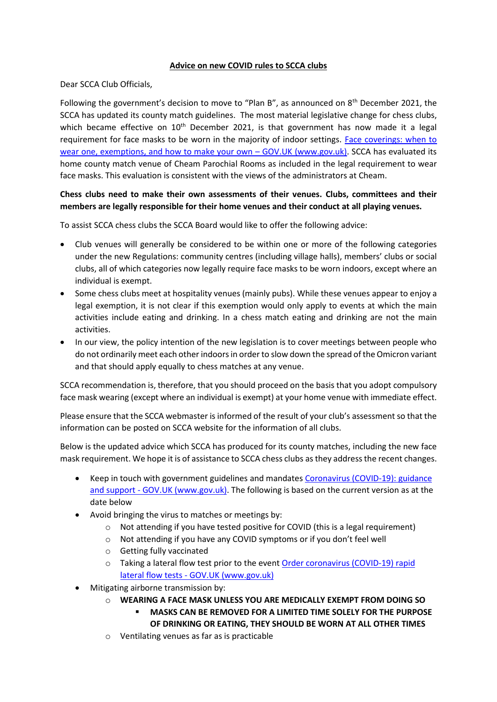## **Advice on new COVID rules to SCCA clubs**

Dear SCCA Club Officials,

Following the government's decision to move to "Plan B", as announced on 8<sup>th</sup> December 2021, the SCCA has updated its county match guidelines. The most material legislative change for chess clubs, which became effective on  $10<sup>th</sup>$  December 2021, is that government has now made it a legal requirement for face masks to be worn in the majority of indoor settings. [Face coverings: when to](https://www.gov.uk/government/publications/face-coverings-when-to-wear-one-and-how-to-make-your-own/face-coverings-when-to-wear-one-and-how-to-make-your-own)  [wear one, exemptions, and how to make your own](https://www.gov.uk/government/publications/face-coverings-when-to-wear-one-and-how-to-make-your-own/face-coverings-when-to-wear-one-and-how-to-make-your-own) – GOV.UK (www.gov.uk). SCCA has evaluated its home county match venue of Cheam Parochial Rooms as included in the legal requirement to wear face masks. This evaluation is consistent with the views of the administrators at Cheam.

## **Chess clubs need to make their own assessments of their venues. Clubs, committees and their members are legally responsible for their home venues and their conduct at all playing venues.**

To assist SCCA chess clubs the SCCA Board would like to offer the following advice:

- Club venues will generally be considered to be within one or more of the following categories under the new Regulations: community centres (including village halls), members' clubs or social clubs, all of which categories now legally require face masks to be worn indoors, except where an individual is exempt.
- Some chess clubs meet at hospitality venues (mainly pubs). While these venues appear to enjoy a legal exemption, it is not clear if this exemption would only apply to events at which the main activities include eating and drinking. In a chess match eating and drinking are not the main activities.
- In our view, the policy intention of the new legislation is to cover meetings between people who do not ordinarily meet each other indoors in order to slow down the spread of the Omicron variant and that should apply equally to chess matches at any venue.

SCCA recommendation is, therefore, that you should proceed on the basis that you adopt compulsory face mask wearing (except where an individual is exempt) at your home venue with immediate effect.

Please ensure that the SCCA webmaster is informed of the result of your club's assessment so that the information can be posted on SCCA website for the information of all clubs.

Below is the updated advice which SCCA has produced for its county matches, including the new face mask requirement. We hope it is of assistance to SCCA chess clubs as they address the recent changes.

- Keep in touch with government guidelines and mandates Coronavirus (COVID-19): guidance and support - [GOV.UK \(www.gov.uk\).](https://www.gov.uk/coronavirus) The following is based on the current version as at the date below
- Avoid bringing the virus to matches or meetings by:
	- o Not attending if you have tested positive for COVID (this is a legal requirement)
	- o Not attending if you have any COVID symptoms or if you don't feel well
	- o Getting fully vaccinated
	- $\circ$  Taking a lateral flow test prior to the event Order coronavirus (COVID-19) rapid lateral flow tests - [GOV.UK \(www.gov.uk\)](https://www.gov.uk/order-coronavirus-rapid-lateral-flow-tests)
- Mitigating airborne transmission by:
	- o **WEARING A FACE MASK UNLESS YOU ARE MEDICALLY EXEMPT FROM DOING SO**
		- **MASKS CAN BE REMOVED FOR A LIMITED TIME SOLELY FOR THE PURPOSE OF DRINKING OR EATING, THEY SHOULD BE WORN AT ALL OTHER TIMES**
	- o Ventilating venues as far as is practicable